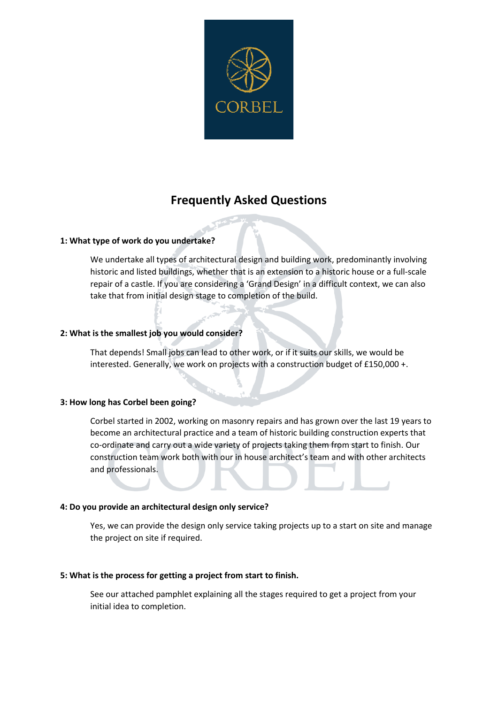

# **Frequently Asked Questions**

# **1: What type of work do you undertake?**

We undertake all types of architectural design and building work, predominantly involving historic and listed buildings, whether that is an extension to a historic house or a full-scale repair of a castle. If you are considering a 'Grand Design' in a difficult context, we can also take that from initial design stage to completion of the build.

# **2: What is the smallest job you would consider?**

That depends! Small jobs can lead to other work, or if it suits our skills, we would be interested. Generally, we work on projects with a construction budget of £150,000 +.

# **3: How long has Corbel been going?**

Corbel started in 2002, working on masonry repairs and has grown over the last 19 years to become an architectural practice and a team of historic building construction experts that co-ordinate and carry out a wide variety of projects taking them from start to finish. Our construction team work both with our in house architect's team and with other architects and professionals.

# **4: Do you provide an architectural design only service?**

Yes, we can provide the design only service taking projects up to a start on site and manage the project on site if required.

# **5: What is the process for getting a project from start to finish.**

See our attached pamphlet explaining all the stages required to get a project from your initial idea to completion.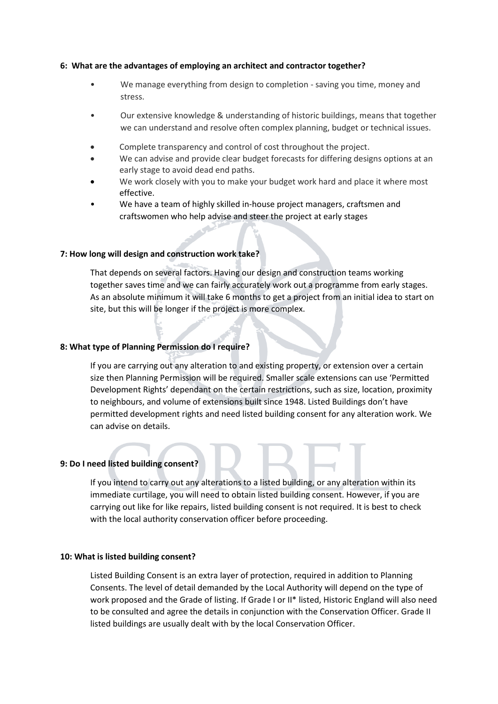## **6: What are the advantages of employing an architect and contractor together?**

- We manage everything from design to completion saving you time, money and stress.
- Our extensive knowledge & understanding of historic buildings, means that together we can understand and resolve often complex planning, budget or technical issues.
- Complete transparency and control of cost throughout the project.
- We can advise and provide clear budget forecasts for differing designs options at an early stage to avoid dead end paths.
- We work closely with you to make your budget work hard and place it where most effective.
- We have a team of highly skilled in-house project managers, craftsmen and craftswomen who help advise and steer the project at early stages

# **7: How long will design and construction work take?**

That depends on several factors. Having our design and construction teams working together saves time and we can fairly accurately work out a programme from early stages. As an absolute minimum it will take 6 months to get a project from an initial idea to start on site, but this will be longer if the project is more complex.

### **8: What type of Planning Permission do I require?**

If you are carrying out any alteration to and existing property, or extension over a certain size then Planning Permission will be required. Smaller scale extensions can use 'Permitted Development Rights' dependant on the certain restrictions, such as size, location, proximity to neighbours, and volume of extensions built since 1948. Listed Buildings don't have permitted development rights and need listed building consent for any alteration work. We can advise on details.

### **9: Do I need listed building consent?**

If you intend to carry out any alterations to a listed building, or any alteration within its immediate curtilage, you will need to obtain listed building consent. However, if you are carrying out like for like repairs, listed building consent is not required. It is best to check with the local authority conservation officer before proceeding.

## **10: What is listed building consent?**

Listed Building Consent is an extra layer of protection, required in addition to Planning Consents. The level of detail demanded by the Local Authority will depend on the type of work proposed and the Grade of listing. If Grade I or II\* listed, Historic England will also need to be consulted and agree the details in conjunction with the Conservation Officer. Grade II listed buildings are usually dealt with by the local Conservation Officer.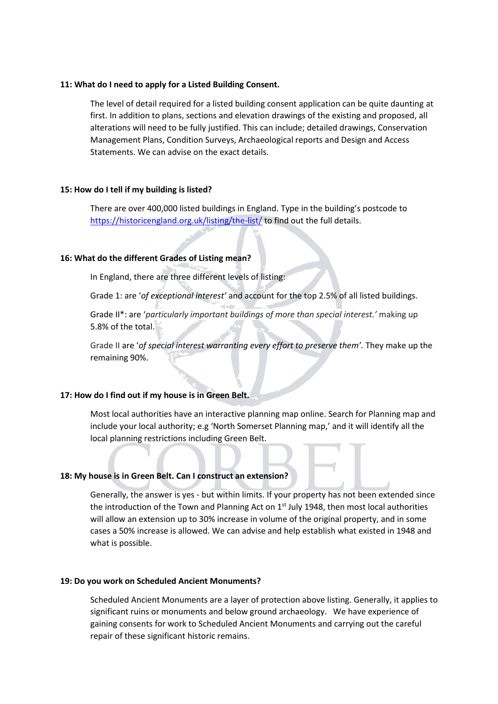## **11: What do I need to apply for a Listed Building Consent.**

The level of detail required for a listed building consent application can be quite daunting at first. In addition to plans, sections and elevation drawings of the existing and proposed, all alterations will need to be fully justified. This can include; detailed drawings, Conservation Management Plans, Condition Surveys, Archaeological reports and Design and Access Statements. We can advise on the exact details.

### **15: How do I tell if my building is listed?**

There are over 400,000 listed buildings in England. Type in the building's postcode to <https://historicengland.org.uk/listing/the-list/> to find out the full details.

### **16: What do the different Grades of Listing mean?**

In England, there are three different levels of listing:

Grade 1: are '*of exceptional interest'* and account for the top 2.5% of all listed buildings.

Grade II\*: are '*particularly important buildings of more than special interest.'* making up 5.8% of the total.

Grade II are 'of special interest warranting every effort to preserve them'. They make up the remaining 90%.

## **17: How do I find out if my house is in Green Belt.**

Most local authorities have an interactive planning map online. Search for Planning map and include your local authority; e.g 'North Somerset Planning map,' and it will identify all the local planning restrictions including Green Belt.

# **18: My house is in Green Belt. Can I construct an extension?**

Generally, the answer is yes - but within limits. If your property has not been extended since the introduction of the Town and Planning Act on  $1<sup>st</sup>$  July 1948, then most local authorities will allow an extension up to 30% increase in volume of the original property, and in some cases a 50% increase is allowed. We can advise and help establish what existed in 1948 and what is possible.

### **19: Do you work on Scheduled Ancient Monuments?**

Scheduled Ancient Monuments are a layer of protection above listing. Generally, it applies to significant ruins or monuments and below ground archaeology. We have experience of gaining consents for work to Scheduled Ancient Monuments and carrying out the careful repair of these significant historic remains.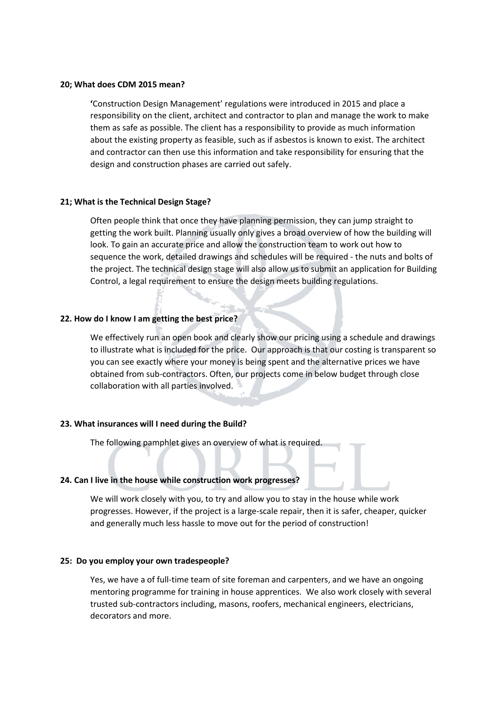## **20; What does CDM 2015 mean?**

**'**Construction Design Management' regulations were introduced in 2015 and place a responsibility on the client, architect and contractor to plan and manage the work to make them as safe as possible. The client has a responsibility to provide as much information about the existing property as feasible, such as if asbestos is known to exist. The architect and contractor can then use this information and take responsibility for ensuring that the design and construction phases are carried out safely.

## **21; What is the Technical Design Stage?**

Often people think that once they have planning permission, they can jump straight to getting the work built. Planning usually only gives a broad overview of how the building will look. To gain an accurate price and allow the construction team to work out how to sequence the work, detailed drawings and schedules will be required - the nuts and bolts of the project. The technical design stage will also allow us to submit an application for Building Control, a legal requirement to ensure the design meets building regulations.

# **22. How do I know I am getting the best price?**

We effectively run an open book and clearly show our pricing using a schedule and drawings to illustrate what is included for the price. Our approach is that our costing is transparent so you can see exactly where your money is being spent and the alternative prices we have obtained from sub-contractors. Often, our projects come in below budget through close collaboration with all parties involved.

# **23. What insurances will I need during the Build?**

The following pamphlet gives an overview of what is required.

# **24. Can I live in the house while construction work progresses?**

We will work closely with you, to try and allow you to stay in the house while work progresses. However, if the project is a large-scale repair, then it is safer, cheaper, quicker and generally much less hassle to move out for the period of construction!

### **25: Do you employ your own tradespeople?**

Yes, we have a of full-time team of site foreman and carpenters, and we have an ongoing mentoring programme for training in house apprentices. We also work closely with several trusted sub-contractors including, masons, roofers, mechanical engineers, electricians, decorators and more.